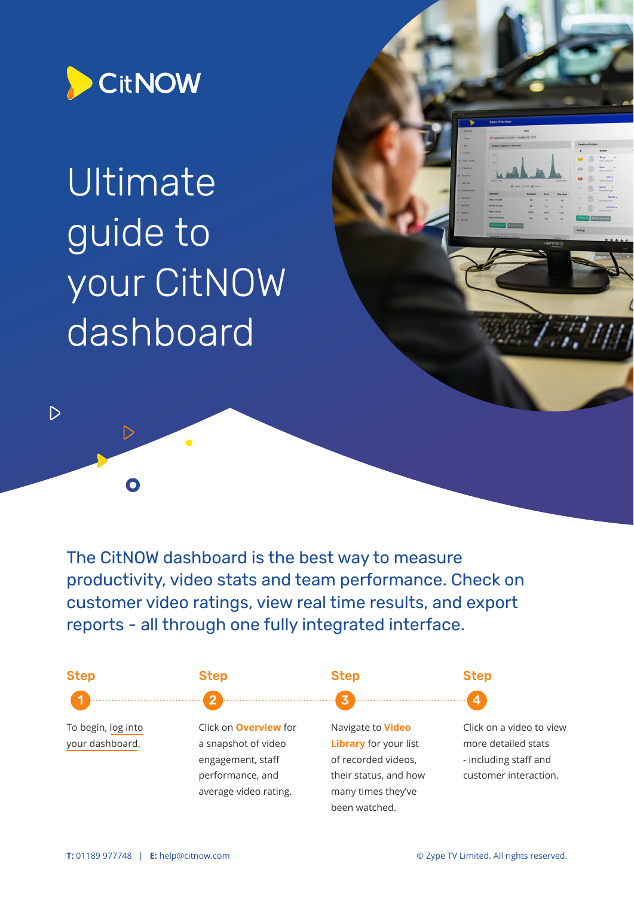

 $\triangleright$ 

 $\Omega$ 

 $\triangleright$ 

# Ultimate guide to your CitNOW dashboard

The CitNOW dashboard is the best way to measure productivity, video stats and team performance. Check on customer video ratings, view real time results, and export reports - all through one fully integrated interface.